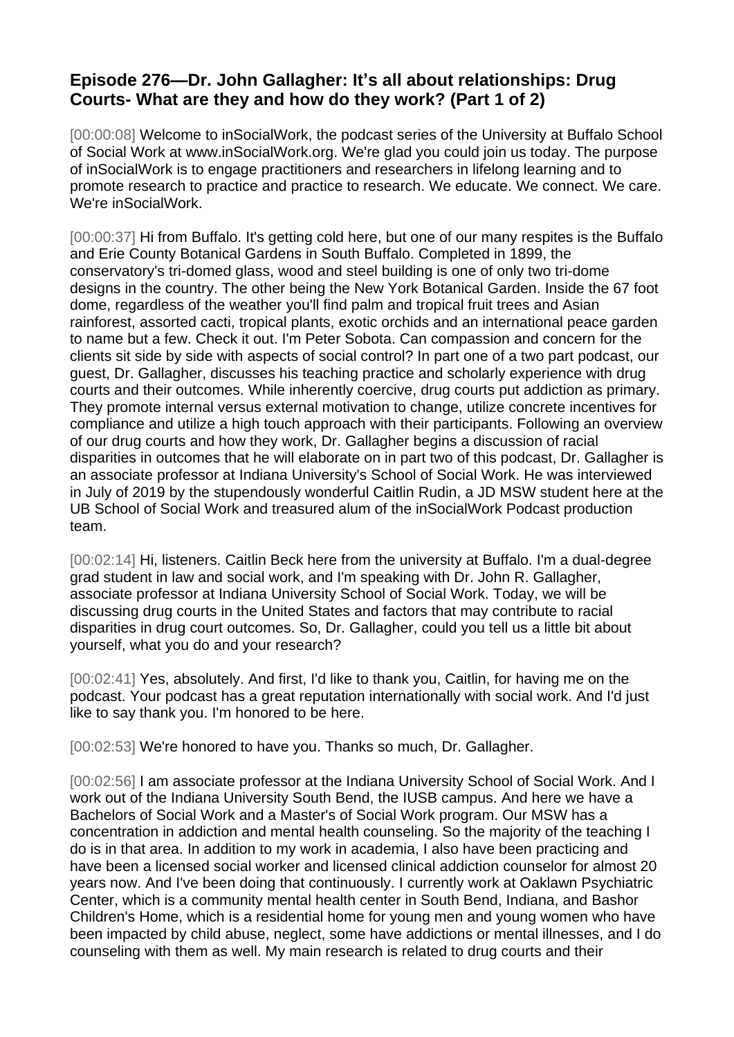## **Episode 276—Dr. John Gallagher: It's all about relationships: Drug Courts- What are they and how do they work? (Part 1 of 2)**

[00:00:08] Welcome to inSocialWork, the podcast series of the University at Buffalo School of Social Work at www.inSocialWork.org. We're glad you could join us today. The purpose of inSocialWork is to engage practitioners and researchers in lifelong learning and to promote research to practice and practice to research. We educate. We connect. We care. We're inSocialWork.

[00:00:37] Hi from Buffalo. It's getting cold here, but one of our many respites is the Buffalo and Erie County Botanical Gardens in South Buffalo. Completed in 1899, the conservatory's tri-domed glass, wood and steel building is one of only two tri-dome designs in the country. The other being the New York Botanical Garden. Inside the 67 foot dome, regardless of the weather you'll find palm and tropical fruit trees and Asian rainforest, assorted cacti, tropical plants, exotic orchids and an international peace garden to name but a few. Check it out. I'm Peter Sobota. Can compassion and concern for the clients sit side by side with aspects of social control? In part one of a two part podcast, our guest, Dr. Gallagher, discusses his teaching practice and scholarly experience with drug courts and their outcomes. While inherently coercive, drug courts put addiction as primary. They promote internal versus external motivation to change, utilize concrete incentives for compliance and utilize a high touch approach with their participants. Following an overview of our drug courts and how they work, Dr. Gallagher begins a discussion of racial disparities in outcomes that he will elaborate on in part two of this podcast, Dr. Gallagher is an associate professor at Indiana University's School of Social Work. He was interviewed in July of 2019 by the stupendously wonderful Caitlin Rudin, a JD MSW student here at the UB School of Social Work and treasured alum of the inSocialWork Podcast production team.

[00:02:14] Hi, listeners. Caitlin Beck here from the university at Buffalo. I'm a dual-degree grad student in law and social work, and I'm speaking with Dr. John R. Gallagher, associate professor at Indiana University School of Social Work. Today, we will be discussing drug courts in the United States and factors that may contribute to racial disparities in drug court outcomes. So, Dr. Gallagher, could you tell us a little bit about yourself, what you do and your research?

[00:02:41] Yes, absolutely. And first, I'd like to thank you, Caitlin, for having me on the podcast. Your podcast has a great reputation internationally with social work. And I'd just like to say thank you. I'm honored to be here.

[00:02:53] We're honored to have you. Thanks so much, Dr. Gallagher.

[00:02:56] I am associate professor at the Indiana University School of Social Work. And I work out of the Indiana University South Bend, the IUSB campus. And here we have a Bachelors of Social Work and a Master's of Social Work program. Our MSW has a concentration in addiction and mental health counseling. So the majority of the teaching I do is in that area. In addition to my work in academia, I also have been practicing and have been a licensed social worker and licensed clinical addiction counselor for almost 20 years now. And I've been doing that continuously. I currently work at Oaklawn Psychiatric Center, which is a community mental health center in South Bend, Indiana, and Bashor Children's Home, which is a residential home for young men and young women who have been impacted by child abuse, neglect, some have addictions or mental illnesses, and I do counseling with them as well. My main research is related to drug courts and their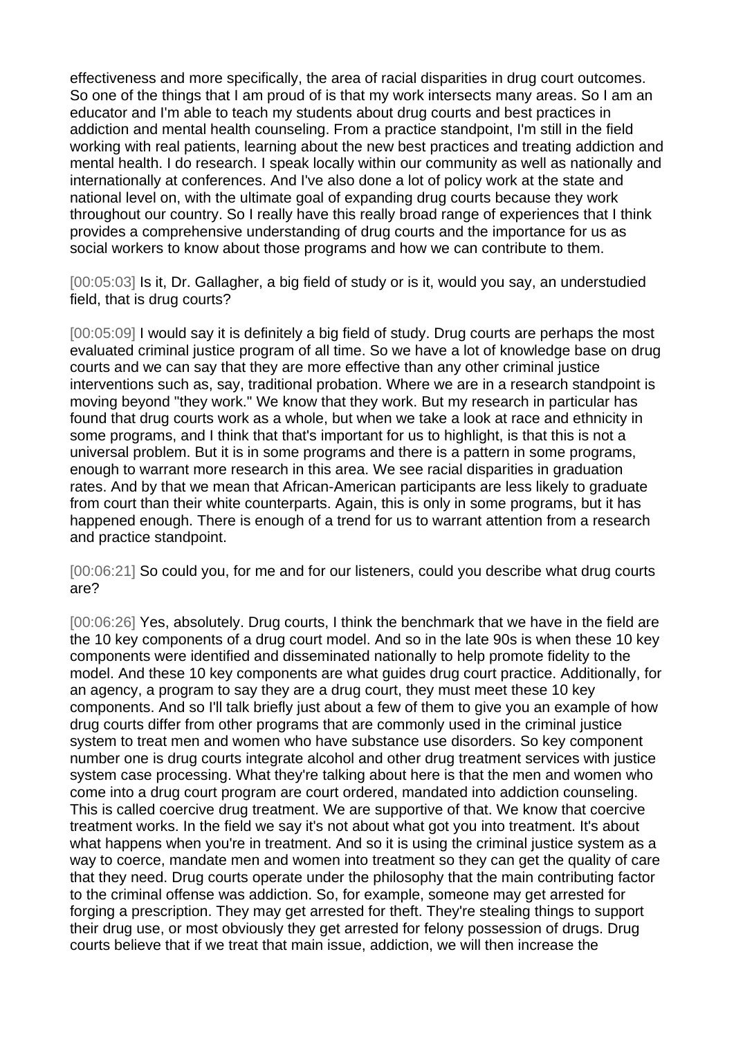effectiveness and more specifically, the area of racial disparities in drug court outcomes. So one of the things that I am proud of is that my work intersects many areas. So I am an educator and I'm able to teach my students about drug courts and best practices in addiction and mental health counseling. From a practice standpoint, I'm still in the field working with real patients, learning about the new best practices and treating addiction and mental health. I do research. I speak locally within our community as well as nationally and internationally at conferences. And I've also done a lot of policy work at the state and national level on, with the ultimate goal of expanding drug courts because they work throughout our country. So I really have this really broad range of experiences that I think provides a comprehensive understanding of drug courts and the importance for us as social workers to know about those programs and how we can contribute to them.

[00:05:03] Is it, Dr. Gallagher, a big field of study or is it, would you say, an understudied field, that is drug courts?

[00:05:09] I would say it is definitely a big field of study. Drug courts are perhaps the most evaluated criminal justice program of all time. So we have a lot of knowledge base on drug courts and we can say that they are more effective than any other criminal justice interventions such as, say, traditional probation. Where we are in a research standpoint is moving beyond "they work." We know that they work. But my research in particular has found that drug courts work as a whole, but when we take a look at race and ethnicity in some programs, and I think that that's important for us to highlight, is that this is not a universal problem. But it is in some programs and there is a pattern in some programs, enough to warrant more research in this area. We see racial disparities in graduation rates. And by that we mean that African-American participants are less likely to graduate from court than their white counterparts. Again, this is only in some programs, but it has happened enough. There is enough of a trend for us to warrant attention from a research and practice standpoint.

[00:06:21] So could you, for me and for our listeners, could you describe what drug courts are?

[00:06:26] Yes, absolutely. Drug courts, I think the benchmark that we have in the field are the 10 key components of a drug court model. And so in the late 90s is when these 10 key components were identified and disseminated nationally to help promote fidelity to the model. And these 10 key components are what guides drug court practice. Additionally, for an agency, a program to say they are a drug court, they must meet these 10 key components. And so I'll talk briefly just about a few of them to give you an example of how drug courts differ from other programs that are commonly used in the criminal justice system to treat men and women who have substance use disorders. So key component number one is drug courts integrate alcohol and other drug treatment services with justice system case processing. What they're talking about here is that the men and women who come into a drug court program are court ordered, mandated into addiction counseling. This is called coercive drug treatment. We are supportive of that. We know that coercive treatment works. In the field we say it's not about what got you into treatment. It's about what happens when you're in treatment. And so it is using the criminal justice system as a way to coerce, mandate men and women into treatment so they can get the quality of care that they need. Drug courts operate under the philosophy that the main contributing factor to the criminal offense was addiction. So, for example, someone may get arrested for forging a prescription. They may get arrested for theft. They're stealing things to support their drug use, or most obviously they get arrested for felony possession of drugs. Drug courts believe that if we treat that main issue, addiction, we will then increase the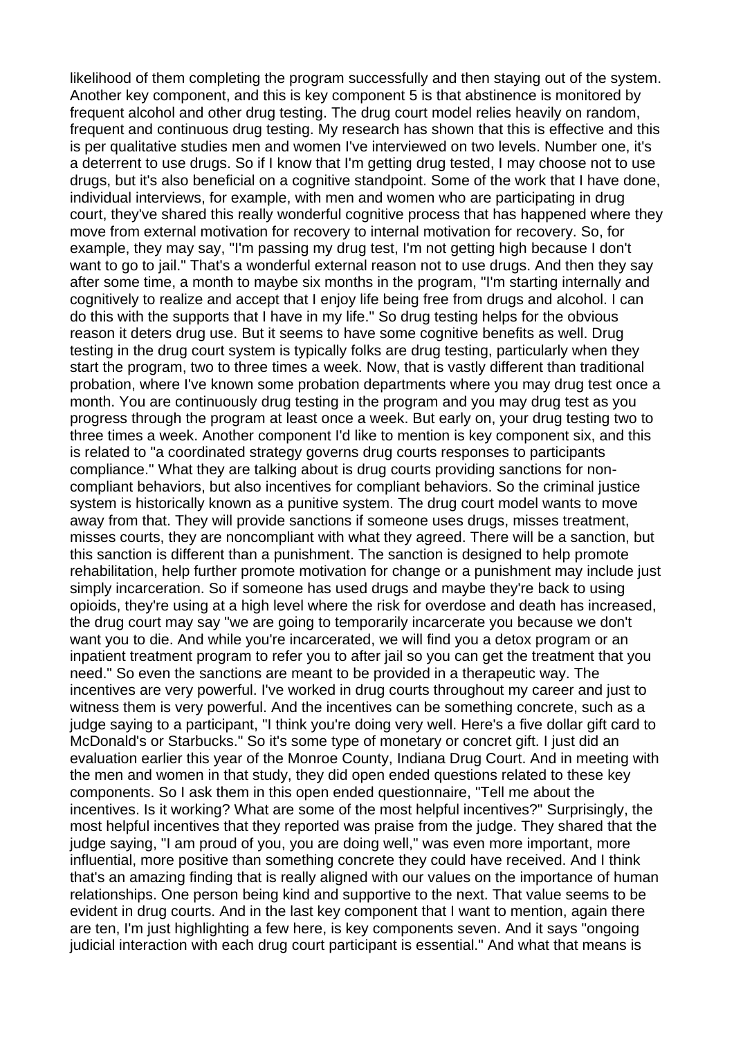likelihood of them completing the program successfully and then staying out of the system. Another key component, and this is key component 5 is that abstinence is monitored by frequent alcohol and other drug testing. The drug court model relies heavily on random, frequent and continuous drug testing. My research has shown that this is effective and this is per qualitative studies men and women I've interviewed on two levels. Number one, it's a deterrent to use drugs. So if I know that I'm getting drug tested, I may choose not to use drugs, but it's also beneficial on a cognitive standpoint. Some of the work that I have done, individual interviews, for example, with men and women who are participating in drug court, they've shared this really wonderful cognitive process that has happened where they move from external motivation for recovery to internal motivation for recovery. So, for example, they may say, "I'm passing my drug test, I'm not getting high because I don't want to go to jail." That's a wonderful external reason not to use drugs. And then they say after some time, a month to maybe six months in the program, "I'm starting internally and cognitively to realize and accept that I enjoy life being free from drugs and alcohol. I can do this with the supports that I have in my life." So drug testing helps for the obvious reason it deters drug use. But it seems to have some cognitive benefits as well. Drug testing in the drug court system is typically folks are drug testing, particularly when they start the program, two to three times a week. Now, that is vastly different than traditional probation, where I've known some probation departments where you may drug test once a month. You are continuously drug testing in the program and you may drug test as you progress through the program at least once a week. But early on, your drug testing two to three times a week. Another component I'd like to mention is key component six, and this is related to "a coordinated strategy governs drug courts responses to participants compliance." What they are talking about is drug courts providing sanctions for noncompliant behaviors, but also incentives for compliant behaviors. So the criminal justice system is historically known as a punitive system. The drug court model wants to move away from that. They will provide sanctions if someone uses drugs, misses treatment, misses courts, they are noncompliant with what they agreed. There will be a sanction, but this sanction is different than a punishment. The sanction is designed to help promote rehabilitation, help further promote motivation for change or a punishment may include just simply incarceration. So if someone has used drugs and maybe they're back to using opioids, they're using at a high level where the risk for overdose and death has increased, the drug court may say "we are going to temporarily incarcerate you because we don't want you to die. And while you're incarcerated, we will find you a detox program or an inpatient treatment program to refer you to after jail so you can get the treatment that you need." So even the sanctions are meant to be provided in a therapeutic way. The incentives are very powerful. I've worked in drug courts throughout my career and just to witness them is very powerful. And the incentives can be something concrete, such as a judge saying to a participant, "I think you're doing very well. Here's a five dollar gift card to McDonald's or Starbucks." So it's some type of monetary or concret gift. I just did an evaluation earlier this year of the Monroe County, Indiana Drug Court. And in meeting with the men and women in that study, they did open ended questions related to these key components. So I ask them in this open ended questionnaire, "Tell me about the incentives. Is it working? What are some of the most helpful incentives?" Surprisingly, the most helpful incentives that they reported was praise from the judge. They shared that the judge saying, "I am proud of you, you are doing well," was even more important, more influential, more positive than something concrete they could have received. And I think that's an amazing finding that is really aligned with our values on the importance of human relationships. One person being kind and supportive to the next. That value seems to be evident in drug courts. And in the last key component that I want to mention, again there are ten, I'm just highlighting a few here, is key components seven. And it says "ongoing judicial interaction with each drug court participant is essential." And what that means is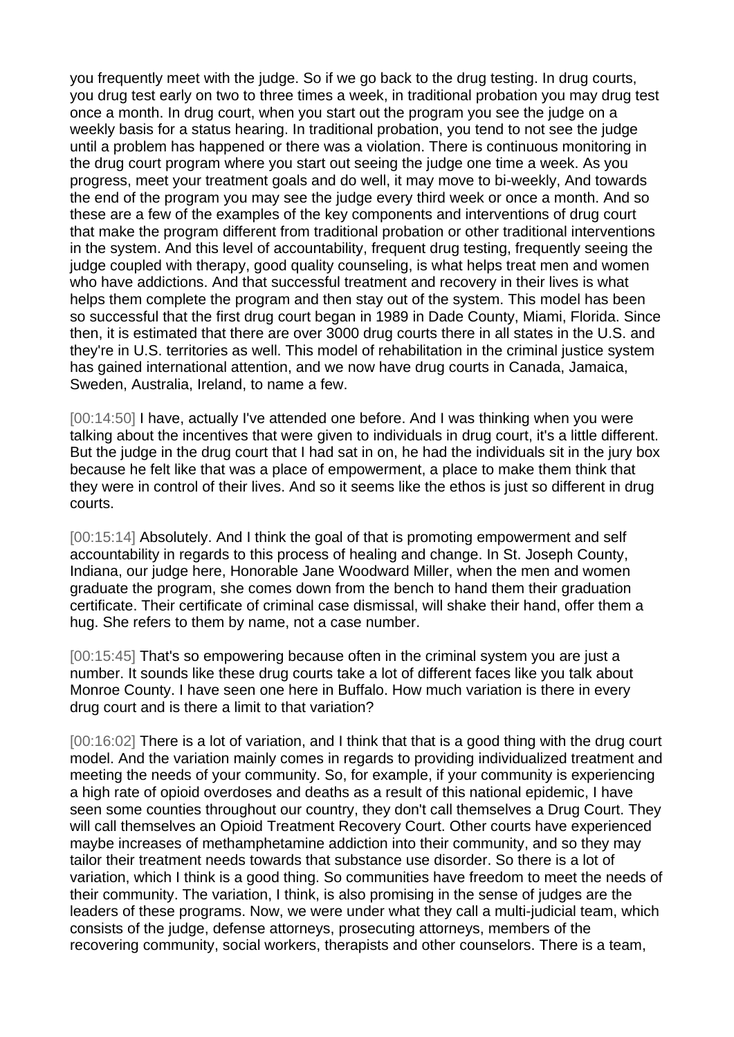you frequently meet with the judge. So if we go back to the drug testing. In drug courts, you drug test early on two to three times a week, in traditional probation you may drug test once a month. In drug court, when you start out the program you see the judge on a weekly basis for a status hearing. In traditional probation, you tend to not see the judge until a problem has happened or there was a violation. There is continuous monitoring in the drug court program where you start out seeing the judge one time a week. As you progress, meet your treatment goals and do well, it may move to bi-weekly, And towards the end of the program you may see the judge every third week or once a month. And so these are a few of the examples of the key components and interventions of drug court that make the program different from traditional probation or other traditional interventions in the system. And this level of accountability, frequent drug testing, frequently seeing the judge coupled with therapy, good quality counseling, is what helps treat men and women who have addictions. And that successful treatment and recovery in their lives is what helps them complete the program and then stay out of the system. This model has been so successful that the first drug court began in 1989 in Dade County, Miami, Florida. Since then, it is estimated that there are over 3000 drug courts there in all states in the U.S. and they're in U.S. territories as well. This model of rehabilitation in the criminal justice system has gained international attention, and we now have drug courts in Canada, Jamaica, Sweden, Australia, Ireland, to name a few.

[00:14:50] I have, actually I've attended one before. And I was thinking when you were talking about the incentives that were given to individuals in drug court, it's a little different. But the judge in the drug court that I had sat in on, he had the individuals sit in the jury box because he felt like that was a place of empowerment, a place to make them think that they were in control of their lives. And so it seems like the ethos is just so different in drug courts.

[00:15:14] Absolutely. And I think the goal of that is promoting empowerment and self accountability in regards to this process of healing and change. In St. Joseph County, Indiana, our judge here, Honorable Jane Woodward Miller, when the men and women graduate the program, she comes down from the bench to hand them their graduation certificate. Their certificate of criminal case dismissal, will shake their hand, offer them a hug. She refers to them by name, not a case number.

[00:15:45] That's so empowering because often in the criminal system you are just a number. It sounds like these drug courts take a lot of different faces like you talk about Monroe County. I have seen one here in Buffalo. How much variation is there in every drug court and is there a limit to that variation?

[00:16:02] There is a lot of variation, and I think that that is a good thing with the drug court model. And the variation mainly comes in regards to providing individualized treatment and meeting the needs of your community. So, for example, if your community is experiencing a high rate of opioid overdoses and deaths as a result of this national epidemic, I have seen some counties throughout our country, they don't call themselves a Drug Court. They will call themselves an Opioid Treatment Recovery Court. Other courts have experienced maybe increases of methamphetamine addiction into their community, and so they may tailor their treatment needs towards that substance use disorder. So there is a lot of variation, which I think is a good thing. So communities have freedom to meet the needs of their community. The variation, I think, is also promising in the sense of judges are the leaders of these programs. Now, we were under what they call a multi-judicial team, which consists of the judge, defense attorneys, prosecuting attorneys, members of the recovering community, social workers, therapists and other counselors. There is a team,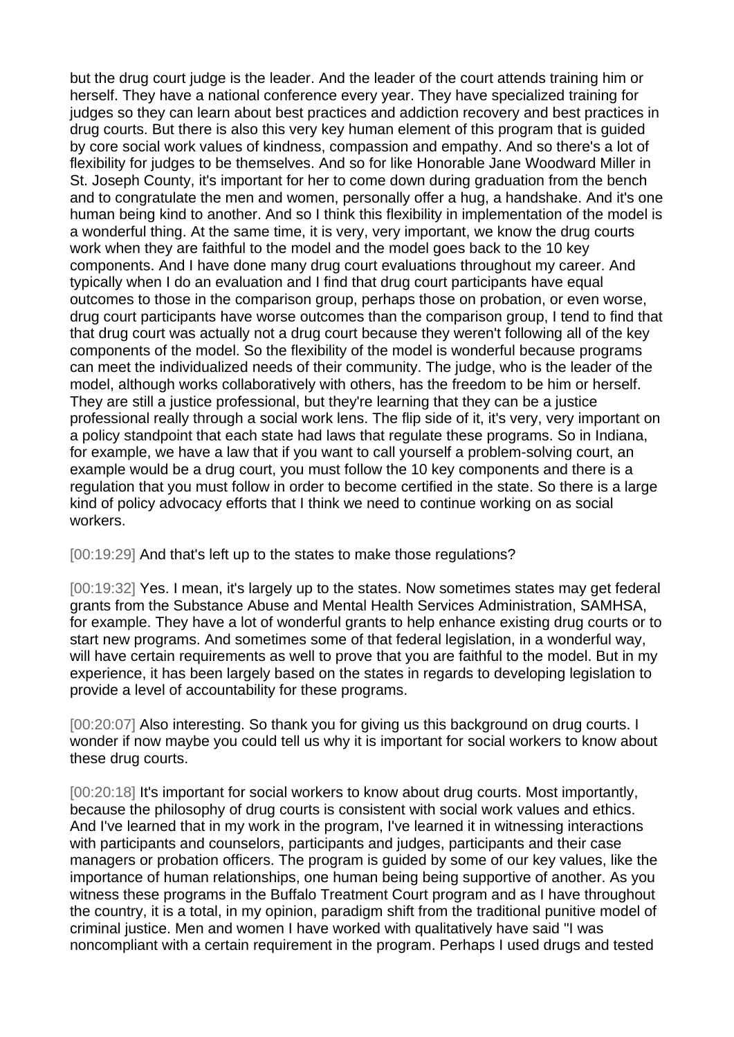but the drug court judge is the leader. And the leader of the court attends training him or herself. They have a national conference every year. They have specialized training for judges so they can learn about best practices and addiction recovery and best practices in drug courts. But there is also this very key human element of this program that is guided by core social work values of kindness, compassion and empathy. And so there's a lot of flexibility for judges to be themselves. And so for like Honorable Jane Woodward Miller in St. Joseph County, it's important for her to come down during graduation from the bench and to congratulate the men and women, personally offer a hug, a handshake. And it's one human being kind to another. And so I think this flexibility in implementation of the model is a wonderful thing. At the same time, it is very, very important, we know the drug courts work when they are faithful to the model and the model goes back to the 10 key components. And I have done many drug court evaluations throughout my career. And typically when I do an evaluation and I find that drug court participants have equal outcomes to those in the comparison group, perhaps those on probation, or even worse, drug court participants have worse outcomes than the comparison group, I tend to find that that drug court was actually not a drug court because they weren't following all of the key components of the model. So the flexibility of the model is wonderful because programs can meet the individualized needs of their community. The judge, who is the leader of the model, although works collaboratively with others, has the freedom to be him or herself. They are still a justice professional, but they're learning that they can be a justice professional really through a social work lens. The flip side of it, it's very, very important on a policy standpoint that each state had laws that regulate these programs. So in Indiana, for example, we have a law that if you want to call yourself a problem-solving court, an example would be a drug court, you must follow the 10 key components and there is a regulation that you must follow in order to become certified in the state. So there is a large kind of policy advocacy efforts that I think we need to continue working on as social workers.

[00:19:29] And that's left up to the states to make those regulations?

[00:19:32] Yes. I mean, it's largely up to the states. Now sometimes states may get federal grants from the Substance Abuse and Mental Health Services Administration, SAMHSA, for example. They have a lot of wonderful grants to help enhance existing drug courts or to start new programs. And sometimes some of that federal legislation, in a wonderful way, will have certain requirements as well to prove that you are faithful to the model. But in my experience, it has been largely based on the states in regards to developing legislation to provide a level of accountability for these programs.

[00:20:07] Also interesting. So thank you for giving us this background on drug courts. I wonder if now maybe you could tell us why it is important for social workers to know about these drug courts.

[00:20:18] It's important for social workers to know about drug courts. Most importantly, because the philosophy of drug courts is consistent with social work values and ethics. And I've learned that in my work in the program, I've learned it in witnessing interactions with participants and counselors, participants and judges, participants and their case managers or probation officers. The program is guided by some of our key values, like the importance of human relationships, one human being being supportive of another. As you witness these programs in the Buffalo Treatment Court program and as I have throughout the country, it is a total, in my opinion, paradigm shift from the traditional punitive model of criminal justice. Men and women I have worked with qualitatively have said "I was noncompliant with a certain requirement in the program. Perhaps I used drugs and tested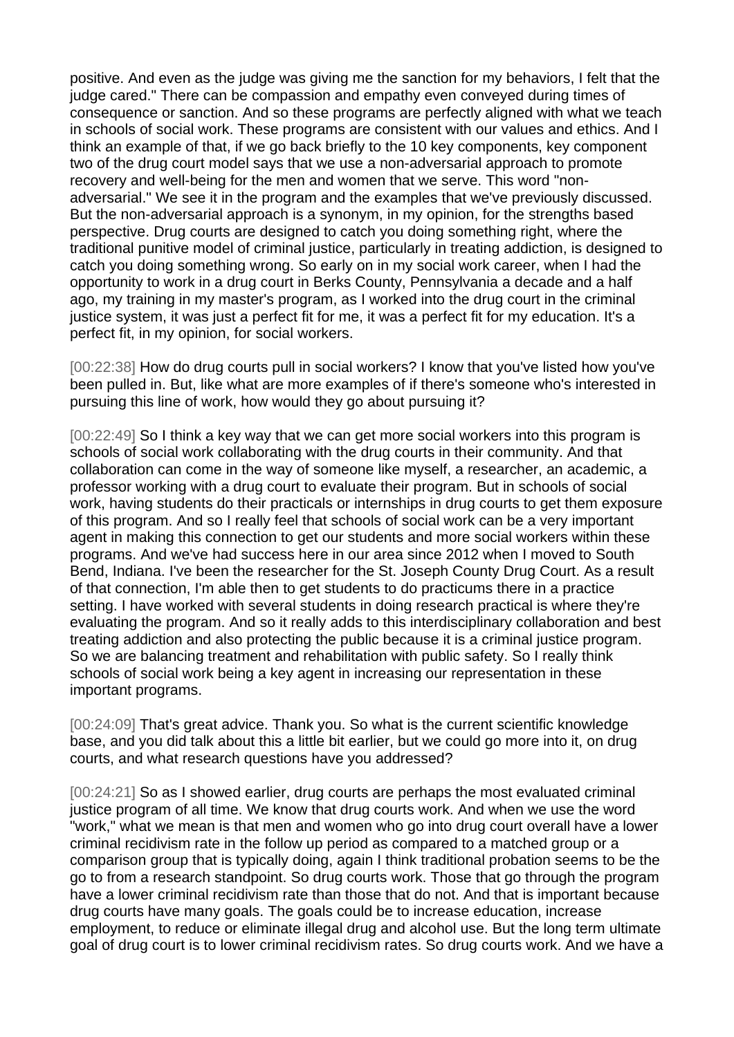positive. And even as the judge was giving me the sanction for my behaviors, I felt that the judge cared." There can be compassion and empathy even conveyed during times of consequence or sanction. And so these programs are perfectly aligned with what we teach in schools of social work. These programs are consistent with our values and ethics. And I think an example of that, if we go back briefly to the 10 key components, key component two of the drug court model says that we use a non-adversarial approach to promote recovery and well-being for the men and women that we serve. This word "nonadversarial." We see it in the program and the examples that we've previously discussed. But the non-adversarial approach is a synonym, in my opinion, for the strengths based perspective. Drug courts are designed to catch you doing something right, where the traditional punitive model of criminal justice, particularly in treating addiction, is designed to catch you doing something wrong. So early on in my social work career, when I had the opportunity to work in a drug court in Berks County, Pennsylvania a decade and a half ago, my training in my master's program, as I worked into the drug court in the criminal justice system, it was just a perfect fit for me, it was a perfect fit for my education. It's a perfect fit, in my opinion, for social workers.

[00:22:38] How do drug courts pull in social workers? I know that you've listed how you've been pulled in. But, like what are more examples of if there's someone who's interested in pursuing this line of work, how would they go about pursuing it?

[00:22:49] So I think a key way that we can get more social workers into this program is schools of social work collaborating with the drug courts in their community. And that collaboration can come in the way of someone like myself, a researcher, an academic, a professor working with a drug court to evaluate their program. But in schools of social work, having students do their practicals or internships in drug courts to get them exposure of this program. And so I really feel that schools of social work can be a very important agent in making this connection to get our students and more social workers within these programs. And we've had success here in our area since 2012 when I moved to South Bend, Indiana. I've been the researcher for the St. Joseph County Drug Court. As a result of that connection, I'm able then to get students to do practicums there in a practice setting. I have worked with several students in doing research practical is where they're evaluating the program. And so it really adds to this interdisciplinary collaboration and best treating addiction and also protecting the public because it is a criminal justice program. So we are balancing treatment and rehabilitation with public safety. So I really think schools of social work being a key agent in increasing our representation in these important programs.

[00:24:09] That's great advice. Thank you. So what is the current scientific knowledge base, and you did talk about this a little bit earlier, but we could go more into it, on drug courts, and what research questions have you addressed?

[00:24:21] So as I showed earlier, drug courts are perhaps the most evaluated criminal justice program of all time. We know that drug courts work. And when we use the word "work," what we mean is that men and women who go into drug court overall have a lower criminal recidivism rate in the follow up period as compared to a matched group or a comparison group that is typically doing, again I think traditional probation seems to be the go to from a research standpoint. So drug courts work. Those that go through the program have a lower criminal recidivism rate than those that do not. And that is important because drug courts have many goals. The goals could be to increase education, increase employment, to reduce or eliminate illegal drug and alcohol use. But the long term ultimate goal of drug court is to lower criminal recidivism rates. So drug courts work. And we have a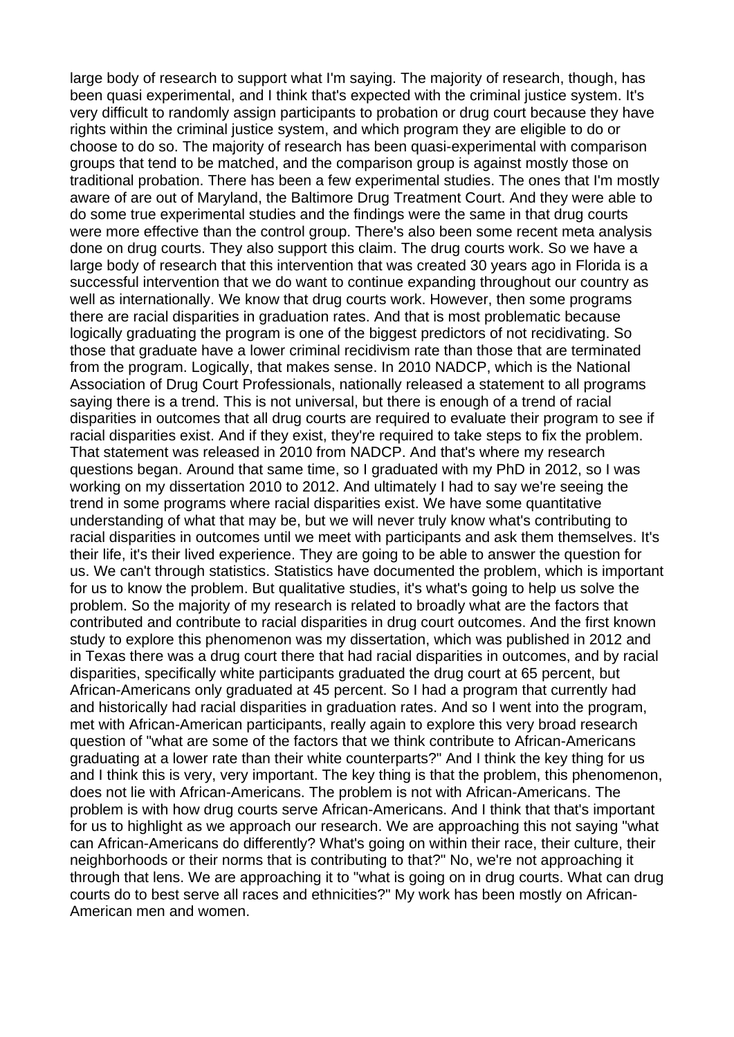large body of research to support what I'm saying. The majority of research, though, has been quasi experimental, and I think that's expected with the criminal justice system. It's very difficult to randomly assign participants to probation or drug court because they have rights within the criminal justice system, and which program they are eligible to do or choose to do so. The majority of research has been quasi-experimental with comparison groups that tend to be matched, and the comparison group is against mostly those on traditional probation. There has been a few experimental studies. The ones that I'm mostly aware of are out of Maryland, the Baltimore Drug Treatment Court. And they were able to do some true experimental studies and the findings were the same in that drug courts were more effective than the control group. There's also been some recent meta analysis done on drug courts. They also support this claim. The drug courts work. So we have a large body of research that this intervention that was created 30 years ago in Florida is a successful intervention that we do want to continue expanding throughout our country as well as internationally. We know that drug courts work. However, then some programs there are racial disparities in graduation rates. And that is most problematic because logically graduating the program is one of the biggest predictors of not recidivating. So those that graduate have a lower criminal recidivism rate than those that are terminated from the program. Logically, that makes sense. In 2010 NADCP, which is the National Association of Drug Court Professionals, nationally released a statement to all programs saying there is a trend. This is not universal, but there is enough of a trend of racial disparities in outcomes that all drug courts are required to evaluate their program to see if racial disparities exist. And if they exist, they're required to take steps to fix the problem. That statement was released in 2010 from NADCP. And that's where my research questions began. Around that same time, so I graduated with my PhD in 2012, so I was working on my dissertation 2010 to 2012. And ultimately I had to say we're seeing the trend in some programs where racial disparities exist. We have some quantitative understanding of what that may be, but we will never truly know what's contributing to racial disparities in outcomes until we meet with participants and ask them themselves. It's their life, it's their lived experience. They are going to be able to answer the question for us. We can't through statistics. Statistics have documented the problem, which is important for us to know the problem. But qualitative studies, it's what's going to help us solve the problem. So the majority of my research is related to broadly what are the factors that contributed and contribute to racial disparities in drug court outcomes. And the first known study to explore this phenomenon was my dissertation, which was published in 2012 and in Texas there was a drug court there that had racial disparities in outcomes, and by racial disparities, specifically white participants graduated the drug court at 65 percent, but African-Americans only graduated at 45 percent. So I had a program that currently had and historically had racial disparities in graduation rates. And so I went into the program, met with African-American participants, really again to explore this very broad research question of "what are some of the factors that we think contribute to African-Americans graduating at a lower rate than their white counterparts?" And I think the key thing for us and I think this is very, very important. The key thing is that the problem, this phenomenon, does not lie with African-Americans. The problem is not with African-Americans. The problem is with how drug courts serve African-Americans. And I think that that's important for us to highlight as we approach our research. We are approaching this not saying "what can African-Americans do differently? What's going on within their race, their culture, their neighborhoods or their norms that is contributing to that?" No, we're not approaching it through that lens. We are approaching it to "what is going on in drug courts. What can drug courts do to best serve all races and ethnicities?" My work has been mostly on African-American men and women.